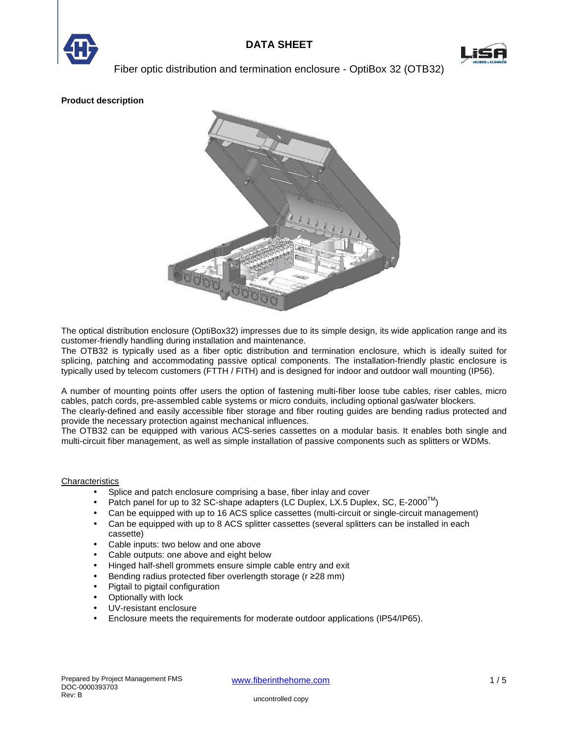



**Product description** 



The optical distribution enclosure (OptiBox32) impresses due to its simple design, its wide application range and its customer-friendly handling during installation and maintenance.

The OTB32 is typically used as a fiber optic distribution and termination enclosure, which is ideally suited for splicing, patching and accommodating passive optical components. The installation-friendly plastic enclosure is typically used by telecom customers (FTTH / FITH) and is designed for indoor and outdoor wall mounting (IP56).

A number of mounting points offer users the option of fastening multi-fiber loose tube cables, riser cables, micro cables, patch cords, pre-assembled cable systems or micro conduits, including optional gas/water blockers.

The clearly-defined and easily accessible fiber storage and fiber routing guides are bending radius protected and provide the necessary protection against mechanical influences.

The OTB32 can be equipped with various ACS-series cassettes on a modular basis. It enables both single and multi-circuit fiber management, as well as simple installation of passive components such as splitters or WDMs.

### **Characteristics**

- Splice and patch enclosure comprising a base, fiber inlay and cover
- Patch panel for up to 32 SC-shape adapters (LC Duplex, LX.5 Duplex, SC, E-2000<sup>™</sup>)
- Can be equipped with up to 16 ACS splice cassettes (multi-circuit or single-circuit management)
- Can be equipped with up to 8 ACS splitter cassettes (several splitters can be installed in each cassette)
- Cable inputs: two below and one above
- Cable outputs: one above and eight below
- Hinged half-shell grommets ensure simple cable entry and exit
- Bending radius protected fiber overlength storage (r ≥28 mm)
- Pigtail to pigtail configuration
- Optionally with lock
- UV-resistant enclosure
- Enclosure meets the requirements for moderate outdoor applications (IP54/IP65).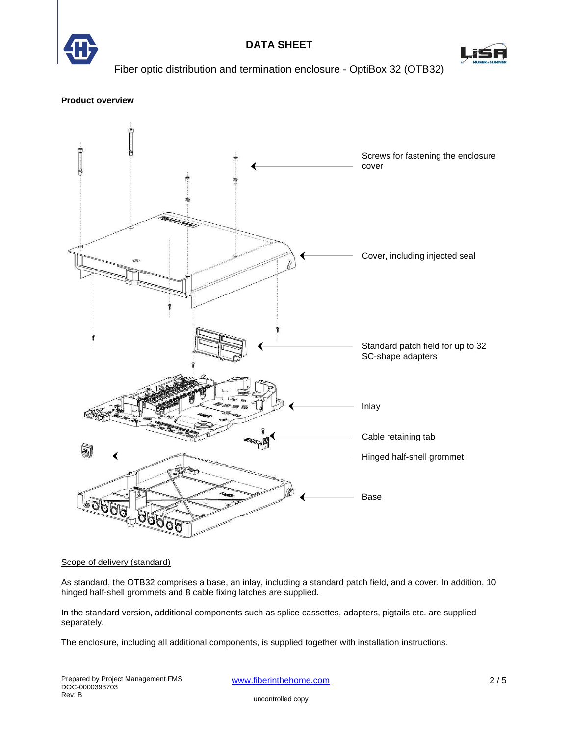

# **DATA SHEET**



Fiber optic distribution and termination enclosure - OptiBox 32 (OTB32)

### **Product overview**



### Scope of delivery (standard)

As standard, the OTB32 comprises a base, an inlay, including a standard patch field, and a cover. In addition, 10 hinged half-shell grommets and 8 cable fixing latches are supplied.

In the standard version, additional components such as splice cassettes, adapters, pigtails etc. are supplied separately.

The enclosure, including all additional components, is supplied together with installation instructions.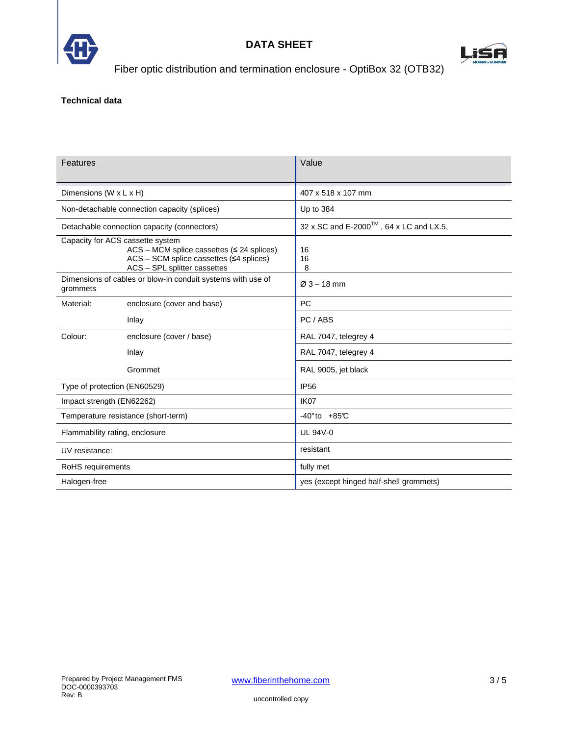



### **Technical data**

| Features                                                                                                                                                                  |                            | Value                                                       |  |
|---------------------------------------------------------------------------------------------------------------------------------------------------------------------------|----------------------------|-------------------------------------------------------------|--|
| Dimensions (W x L x H)                                                                                                                                                    |                            | 407 x 518 x 107 mm                                          |  |
| Non-detachable connection capacity (splices)                                                                                                                              |                            | Up to 384                                                   |  |
| Detachable connection capacity (connectors)                                                                                                                               |                            | $32 \times$ SC and E-2000 <sup>TM</sup> , 64 x LC and LX.5, |  |
| Capacity for ACS cassette system<br>$ACS - MCM$ splice cassettes ( $\leq$ 24 splices)<br>$ACS - SCM$ splice cassettes ( $\leq 4$ splices)<br>ACS - SPL splitter cassettes |                            | 16<br>16<br>8                                               |  |
| Dimensions of cables or blow-in conduit systems with use of<br>grommets                                                                                                   |                            | $Ø3 - 18$ mm                                                |  |
| Material:                                                                                                                                                                 | enclosure (cover and base) | <b>PC</b>                                                   |  |
|                                                                                                                                                                           | Inlay                      | PC / ABS                                                    |  |
| Colour:                                                                                                                                                                   | enclosure (cover / base)   | RAL 7047, telegrey 4                                        |  |
|                                                                                                                                                                           | Inlay                      | RAL 7047, telegrey 4                                        |  |
|                                                                                                                                                                           | Grommet                    | RAL 9005, jet black                                         |  |
| Type of protection (EN60529)                                                                                                                                              |                            | <b>IP56</b>                                                 |  |
| Impact strength (EN62262)                                                                                                                                                 |                            | IK <sub>07</sub>                                            |  |
| Temperature resistance (short-term)                                                                                                                                       |                            | $-40^\circ$ to $+85^\circ$ C                                |  |
| Flammability rating, enclosure                                                                                                                                            |                            | <b>UL 94V-0</b>                                             |  |
| UV resistance:                                                                                                                                                            |                            | resistant                                                   |  |
| RoHS requirements                                                                                                                                                         |                            | fully met                                                   |  |
| Halogen-free                                                                                                                                                              |                            | yes (except hinged half-shell grommets)                     |  |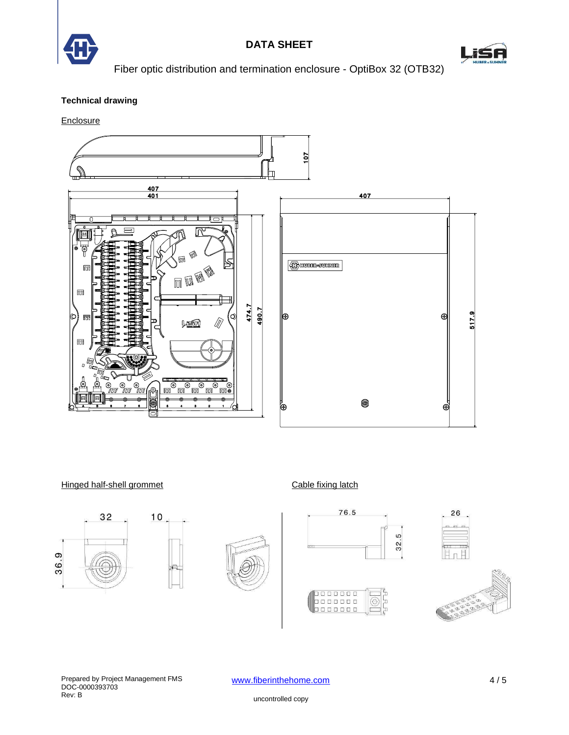



## **Technical drawing**

**Enclosure** 



Hinged half-shell grommet Cable fixing latch









1000000